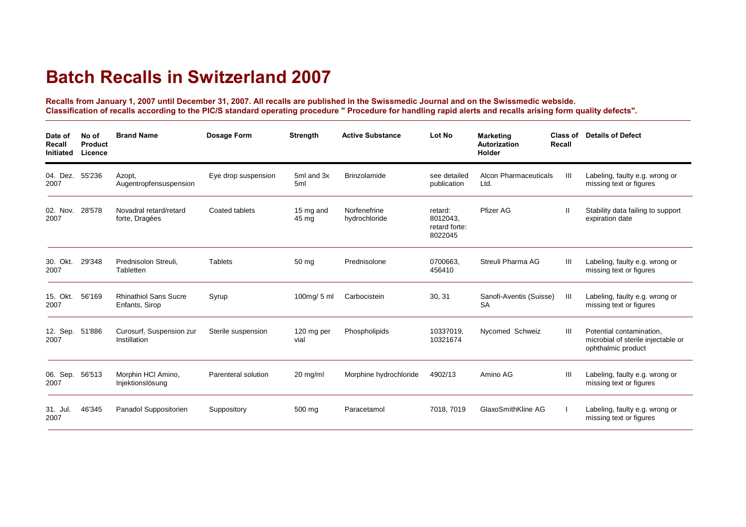## **Batch Recalls in Switzerland 2007**

**Recalls from January 1, 2007 until December 31, 2007. All recalls are published in the Swissmedic Journal and on the Swissmedic webside. Classification of recalls according to the PIC/S standard operating procedure " Procedure for handling rapid alerts and recalls arising form quality defects".**

| Date of<br>Recall<br>Initiated | No of<br>Product<br>Licence | <b>Brand Name</b>                              | Dosage Form         | <b>Strength</b>               | <b>Active Substance</b>       | Lot No                                          | <b>Marketing</b><br><b>Autorization</b><br>Holder | <b>Class of</b><br>Recall | <b>Details of Defect</b>                                                             |
|--------------------------------|-----------------------------|------------------------------------------------|---------------------|-------------------------------|-------------------------------|-------------------------------------------------|---------------------------------------------------|---------------------------|--------------------------------------------------------------------------------------|
| 04. Dez.<br>2007               | 55'236                      | Azopt,<br>Augentropfensuspension               | Eye drop suspension | 5ml and 3x<br>5 <sub>ml</sub> | <b>Brinzolamide</b>           | see detailed<br>publication                     | Alcon Pharmaceuticals<br>Ltd.                     | Ш                         | Labeling, faulty e.g. wrong or<br>missing text or figures                            |
| 02. Nov.<br>2007               | 28'578                      | Novadral retard/retard<br>forte, Dragées       | Coated tablets      | 15 mg and<br>45 mg            | Norfenefrine<br>hydrochloride | retard:<br>8012043.<br>retard forte:<br>8022045 | Pfizer AG                                         | Ш                         | Stability data failing to support<br>expiration date                                 |
| 30. Okt.<br>2007               | 29'348                      | Prednisolon Streuli,<br>Tabletten              | <b>Tablets</b>      | 50 mg                         | Prednisolone                  | 0700663.<br>456410                              | Streuli Pharma AG                                 | Ш                         | Labeling, faulty e.g. wrong or<br>missing text or figures                            |
| 15. Okt.<br>2007               | 56'169                      | <b>Rhinathiol Sans Sucre</b><br>Enfants, Sirop | Syrup               | $100$ mg/ $5$ ml              | Carbocistein                  | 30, 31                                          | Sanofi-Aventis (Suisse)<br><b>SA</b>              | Ш                         | Labeling, faulty e.g. wrong or<br>missing text or figures                            |
| 12. Sep.<br>2007               | 51'886                      | Curosurf, Suspension zur<br>Instillation       | Sterile suspension  | 120 mg per<br>vial            | Phospholipids                 | 10337019,<br>10321674                           | Nycomed Schweiz                                   | Ш                         | Potential contamination,<br>microbial of sterile injectable or<br>ophthalmic product |
| 06. Sep. 56'513<br>2007        |                             | Morphin HCI Amino,<br>Injektionslösung         | Parenteral solution | $20$ mg/ml                    | Morphine hydrochloride        | 4902/13                                         | Amino AG                                          | Ш                         | Labeling, faulty e.g. wrong or<br>missing text or figures                            |
| 31. Jul.<br>2007               | 46'345                      | Panadol Suppositorien                          | Suppository         | 500 mg                        | Paracetamol                   | 7018, 7019                                      | GlaxoSmithKline AG                                |                           | Labeling, faulty e.g. wrong or<br>missing text or figures                            |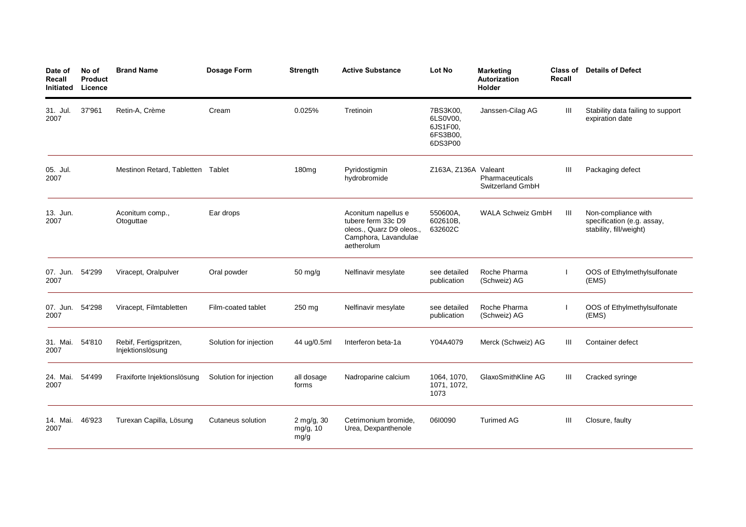| Date of<br>Recall<br>Initiated | No of<br><b>Product</b><br>Licence | <b>Brand Name</b>                          | <b>Dosage Form</b>     | <b>Strength</b>                           | <b>Active Substance</b>                                                                                     | Lot No                                                  | <b>Marketing</b><br>Autorization<br>Holder | Class of<br>Recall | <b>Details of Defect</b>                                                     |
|--------------------------------|------------------------------------|--------------------------------------------|------------------------|-------------------------------------------|-------------------------------------------------------------------------------------------------------------|---------------------------------------------------------|--------------------------------------------|--------------------|------------------------------------------------------------------------------|
| 31. Jul.<br>2007               | 37'961                             | Retin-A, Crème                             | Cream                  | 0.025%                                    | Tretinoin                                                                                                   | 7BS3K00,<br>6LS0V00,<br>6JS1F00,<br>6FS3B00,<br>6DS3P00 | Janssen-Cilag AG                           | Ш                  | Stability data failing to support<br>expiration date                         |
| 05. Jul.<br>2007               |                                    | Mestinon Retard, Tabletten                 | Tablet                 | 180 <sub>mg</sub>                         | Pyridostigmin<br>hydrobromide                                                                               | Z163A, Z136A Valeant                                    | Pharmaceuticals<br>Switzerland GmbH        | Ш                  | Packaging defect                                                             |
| 13. Jun.<br>2007               |                                    | Aconitum comp.,<br>Otoguttae               | Ear drops              |                                           | Aconitum napellus e<br>tubere ferm 33c D9<br>oleos., Quarz D9 oleos.,<br>Camphora, Lavandulae<br>aetherolum | 550600A.<br>602610B.<br>632602C                         | WALA Schweiz GmbH                          | Ш                  | Non-compliance with<br>specification (e.g. assay,<br>stability, fill/weight) |
| 07. Jun.<br>2007               | 54'299                             | Viracept, Oralpulver                       | Oral powder            | 50 mg/g                                   | Nelfinavir mesylate                                                                                         | see detailed<br>publication                             | Roche Pharma<br>(Schweiz) AG               |                    | OOS of Ethylmethylsulfonate<br>(EMS)                                         |
| 07. Jun.<br>2007               | 54'298                             | Viracept, Filmtabletten                    | Film-coated tablet     | 250 mg                                    | Nelfinavir mesylate                                                                                         | see detailed<br>publication                             | Roche Pharma<br>(Schweiz) AG               |                    | OOS of Ethylmethylsulfonate<br>(EMS)                                         |
| 31. Mai.<br>2007               | 54'810                             | Rebif, Fertigspritzen,<br>Injektionslösung | Solution for injection | 44 ug/0.5ml                               | Interferon beta-1a                                                                                          | Y04A4079                                                | Merck (Schweiz) AG                         | III                | Container defect                                                             |
| 24. Mai.<br>2007               | 54'499                             | Fraxiforte Injektionslösung                | Solution for injection | all dosage<br>forms                       | Nadroparine calcium                                                                                         | 1064, 1070,<br>1071, 1072,<br>1073                      | GlaxoSmithKline AG                         | Ш                  | Cracked syringe                                                              |
| 14. Mai.<br>2007               | 46'923                             | Turexan Capilla, Lösung                    | Cutaneus solution      | $2 \text{ mg/g}$ , 30<br>mg/g, 10<br>mg/g | Cetrimonium bromide.<br>Urea, Dexpanthenole                                                                 | 0610090                                                 | <b>Turimed AG</b>                          | Ш                  | Closure, faulty                                                              |